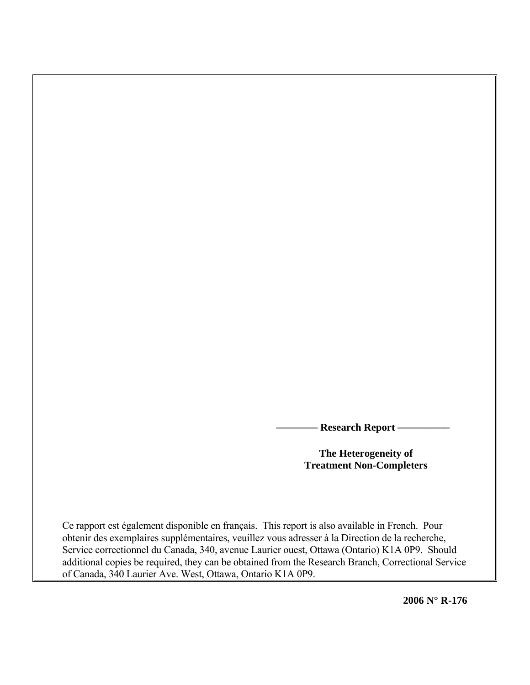**Research Report –** 

**The Heterogeneity of Treatment Non-Completers** 

Ce rapport est également disponible en français. This report is also available in French. Pour obtenir des exemplaires supplémentaires, veuillez vous adresser à la Direction de la recherche, Service correctionnel du Canada, 340, avenue Laurier ouest, Ottawa (Ontario) K1A 0P9. Should additional copies be required, they can be obtained from the Research Branch, Correctional Service of Canada, 340 Laurier Ave. West, Ottawa, Ontario K1A 0P9.

**2006 N° R-176**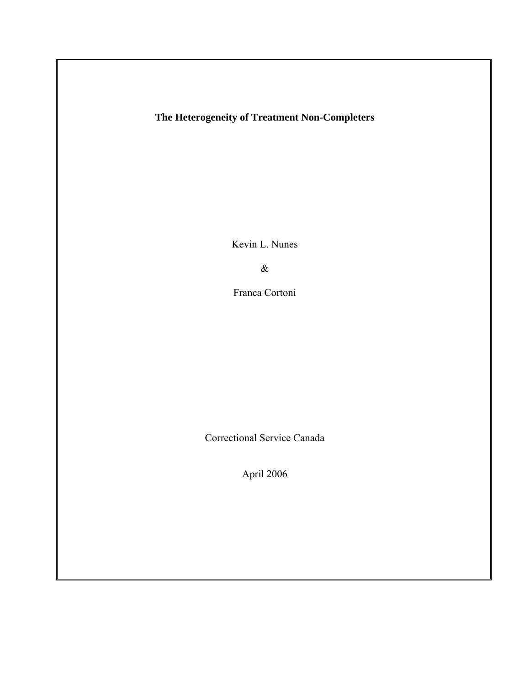# **The Heterogeneity of Treatment Non-Completers**

Kevin L. Nunes

&

Franca Cortoni

Correctional Service Canada

April 2006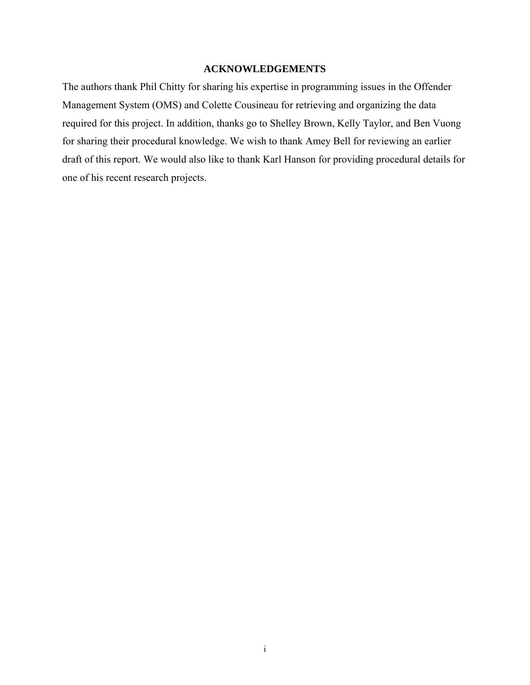## **ACKNOWLEDGEMENTS**

The authors thank Phil Chitty for sharing his expertise in programming issues in the Offender Management System (OMS) and Colette Cousineau for retrieving and organizing the data required for this project. In addition, thanks go to Shelley Brown, Kelly Taylor, and Ben Vuong for sharing their procedural knowledge. We wish to thank Amey Bell for reviewing an earlier draft of this report. We would also like to thank Karl Hanson for providing procedural details for one of his recent research projects.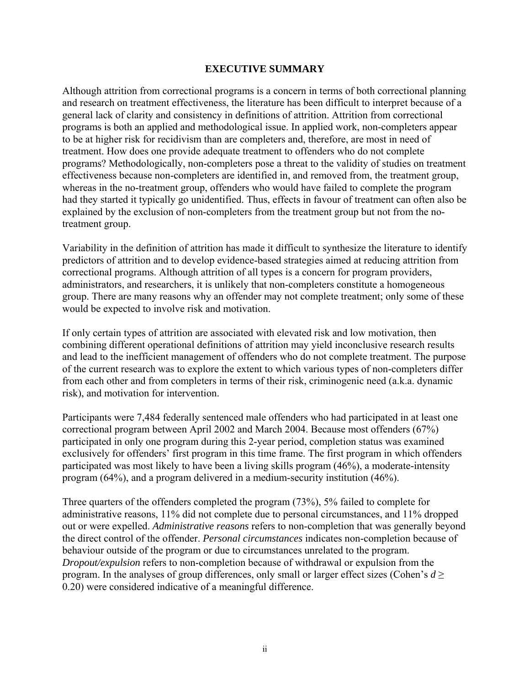## **EXECUTIVE SUMMARY**

Although attrition from correctional programs is a concern in terms of both correctional planning and research on treatment effectiveness, the literature has been difficult to interpret because of a general lack of clarity and consistency in definitions of attrition. Attrition from correctional programs is both an applied and methodological issue. In applied work, non-completers appear to be at higher risk for recidivism than are completers and, therefore, are most in need of treatment. How does one provide adequate treatment to offenders who do not complete programs? Methodologically, non-completers pose a threat to the validity of studies on treatment effectiveness because non-completers are identified in, and removed from, the treatment group, whereas in the no-treatment group, offenders who would have failed to complete the program had they started it typically go unidentified. Thus, effects in favour of treatment can often also be explained by the exclusion of non-completers from the treatment group but not from the notreatment group.

Variability in the definition of attrition has made it difficult to synthesize the literature to identify predictors of attrition and to develop evidence-based strategies aimed at reducing attrition from correctional programs. Although attrition of all types is a concern for program providers, administrators, and researchers, it is unlikely that non-completers constitute a homogeneous group. There are many reasons why an offender may not complete treatment; only some of these would be expected to involve risk and motivation.

If only certain types of attrition are associated with elevated risk and low motivation, then combining different operational definitions of attrition may yield inconclusive research results and lead to the inefficient management of offenders who do not complete treatment. The purpose of the current research was to explore the extent to which various types of non-completers differ from each other and from completers in terms of their risk, criminogenic need (a.k.a. dynamic risk), and motivation for intervention.

Participants were 7,484 federally sentenced male offenders who had participated in at least one correctional program between April 2002 and March 2004. Because most offenders (67%) participated in only one program during this 2-year period, completion status was examined exclusively for offenders' first program in this time frame. The first program in which offenders participated was most likely to have been a living skills program (46%), a moderate-intensity program (64%), and a program delivered in a medium-security institution (46%).

Three quarters of the offenders completed the program (73%), 5% failed to complete for administrative reasons, 11% did not complete due to personal circumstances, and 11% dropped out or were expelled. *Administrative reasons* refers to non-completion that was generally beyond the direct control of the offender. *Personal circumstances* indicates non-completion because of behaviour outside of the program or due to circumstances unrelated to the program. *Dropout/expulsion* refers to non-completion because of withdrawal or expulsion from the program. In the analyses of group differences, only small or larger effect sizes (Cohen's  $d \geq$ 0.20) were considered indicative of a meaningful difference.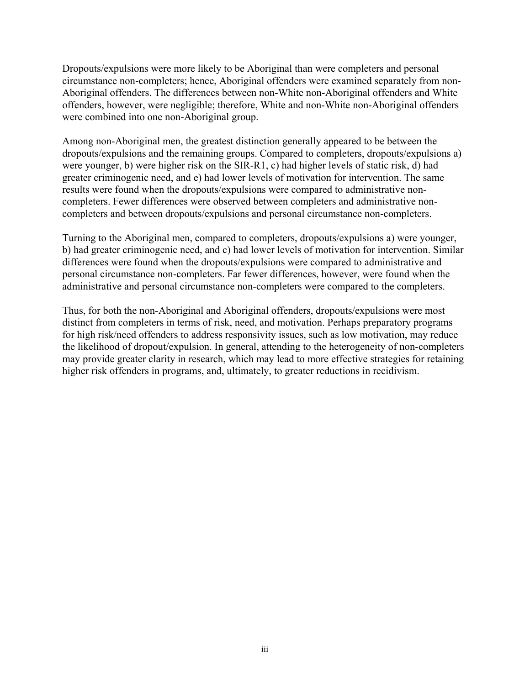Dropouts/expulsions were more likely to be Aboriginal than were completers and personal circumstance non-completers; hence, Aboriginal offenders were examined separately from non-Aboriginal offenders. The differences between non-White non-Aboriginal offenders and White offenders, however, were negligible; therefore, White and non-White non-Aboriginal offenders were combined into one non-Aboriginal group.

Among non-Aboriginal men, the greatest distinction generally appeared to be between the dropouts/expulsions and the remaining groups. Compared to completers, dropouts/expulsions a) were younger, b) were higher risk on the SIR-R1, c) had higher levels of static risk, d) had greater criminogenic need, and e) had lower levels of motivation for intervention. The same results were found when the dropouts/expulsions were compared to administrative noncompleters. Fewer differences were observed between completers and administrative noncompleters and between dropouts/expulsions and personal circumstance non-completers.

Turning to the Aboriginal men, compared to completers, dropouts/expulsions a) were younger, b) had greater criminogenic need, and c) had lower levels of motivation for intervention. Similar differences were found when the dropouts/expulsions were compared to administrative and personal circumstance non-completers. Far fewer differences, however, were found when the administrative and personal circumstance non-completers were compared to the completers.

Thus, for both the non-Aboriginal and Aboriginal offenders, dropouts/expulsions were most distinct from completers in terms of risk, need, and motivation. Perhaps preparatory programs for high risk/need offenders to address responsivity issues, such as low motivation, may reduce the likelihood of dropout/expulsion. In general, attending to the heterogeneity of non-completers may provide greater clarity in research, which may lead to more effective strategies for retaining higher risk offenders in programs, and, ultimately, to greater reductions in recidivism.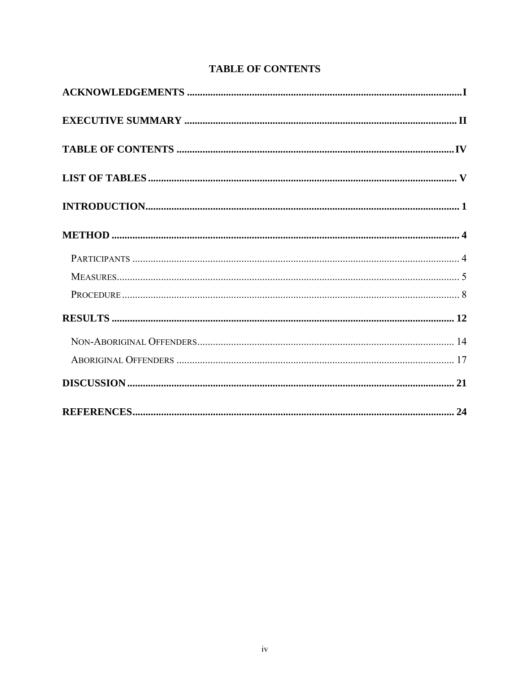# **TABLE OF CONTENTS**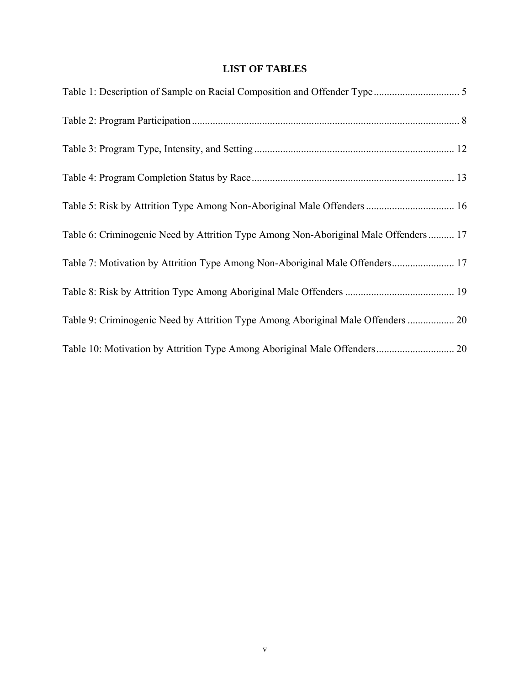# **LIST OF TABLES**

| Table 5: Risk by Attrition Type Among Non-Aboriginal Male Offenders  16              |  |
|--------------------------------------------------------------------------------------|--|
| Table 6: Criminogenic Need by Attrition Type Among Non-Aboriginal Male Offenders  17 |  |
| Table 7: Motivation by Attrition Type Among Non-Aboriginal Male Offenders 17         |  |
|                                                                                      |  |
| Table 9: Criminogenic Need by Attrition Type Among Aboriginal Male Offenders  20     |  |
|                                                                                      |  |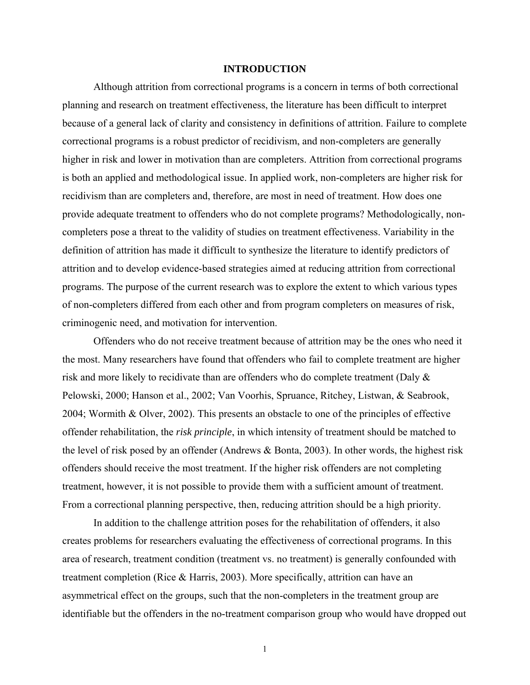## **INTRODUCTION**

 Although attrition from correctional programs is a concern in terms of both correctional planning and research on treatment effectiveness, the literature has been difficult to interpret because of a general lack of clarity and consistency in definitions of attrition. Failure to complete correctional programs is a robust predictor of recidivism, and non-completers are generally higher in risk and lower in motivation than are completers. Attrition from correctional programs is both an applied and methodological issue. In applied work, non-completers are higher risk for recidivism than are completers and, therefore, are most in need of treatment. How does one provide adequate treatment to offenders who do not complete programs? Methodologically, noncompleters pose a threat to the validity of studies on treatment effectiveness. Variability in the definition of attrition has made it difficult to synthesize the literature to identify predictors of attrition and to develop evidence-based strategies aimed at reducing attrition from correctional programs. The purpose of the current research was to explore the extent to which various types of non-completers differed from each other and from program completers on measures of risk, criminogenic need, and motivation for intervention.

Offenders who do not receive treatment because of attrition may be the ones who need it the most. Many researchers have found that offenders who fail to complete treatment are higher risk and more likely to recidivate than are offenders who do complete treatment (Daly & Pelowski, 2000; Hanson et al., 2002; Van Voorhis, Spruance, Ritchey, Listwan, & Seabrook, 2004; Wormith & Olver, 2002). This presents an obstacle to one of the principles of effective offender rehabilitation, the *risk principle*, in which intensity of treatment should be matched to the level of risk posed by an offender (Andrews & Bonta, 2003). In other words, the highest risk offenders should receive the most treatment. If the higher risk offenders are not completing treatment, however, it is not possible to provide them with a sufficient amount of treatment. From a correctional planning perspective, then, reducing attrition should be a high priority.

In addition to the challenge attrition poses for the rehabilitation of offenders, it also creates problems for researchers evaluating the effectiveness of correctional programs. In this area of research, treatment condition (treatment vs. no treatment) is generally confounded with treatment completion (Rice & Harris, 2003). More specifically, attrition can have an asymmetrical effect on the groups, such that the non-completers in the treatment group are identifiable but the offenders in the no-treatment comparison group who would have dropped out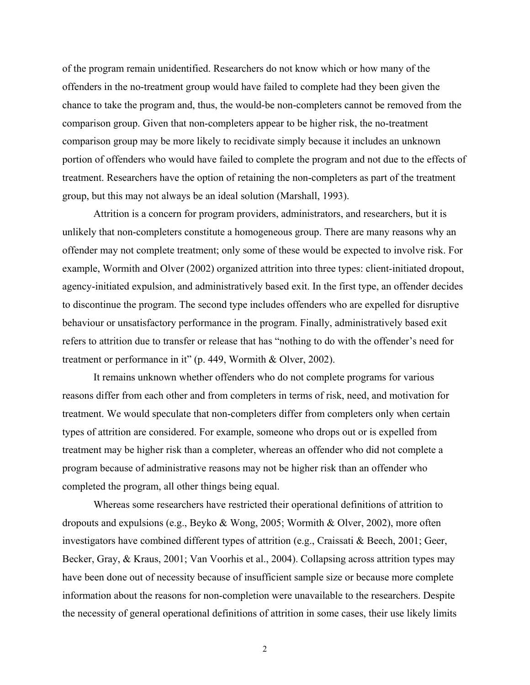of the program remain unidentified. Researchers do not know which or how many of the offenders in the no-treatment group would have failed to complete had they been given the chance to take the program and, thus, the would-be non-completers cannot be removed from the comparison group. Given that non-completers appear to be higher risk, the no-treatment comparison group may be more likely to recidivate simply because it includes an unknown portion of offenders who would have failed to complete the program and not due to the effects of treatment. Researchers have the option of retaining the non-completers as part of the treatment group, but this may not always be an ideal solution (Marshall, 1993).

Attrition is a concern for program providers, administrators, and researchers, but it is unlikely that non-completers constitute a homogeneous group. There are many reasons why an offender may not complete treatment; only some of these would be expected to involve risk. For example, Wormith and Olver (2002) organized attrition into three types: client-initiated dropout, agency-initiated expulsion, and administratively based exit. In the first type, an offender decides to discontinue the program. The second type includes offenders who are expelled for disruptive behaviour or unsatisfactory performance in the program. Finally, administratively based exit refers to attrition due to transfer or release that has "nothing to do with the offender's need for treatment or performance in it" (p. 449, Wormith & Olver, 2002).

It remains unknown whether offenders who do not complete programs for various reasons differ from each other and from completers in terms of risk, need, and motivation for treatment. We would speculate that non-completers differ from completers only when certain types of attrition are considered. For example, someone who drops out or is expelled from treatment may be higher risk than a completer, whereas an offender who did not complete a program because of administrative reasons may not be higher risk than an offender who completed the program, all other things being equal.

Whereas some researchers have restricted their operational definitions of attrition to dropouts and expulsions (e.g., Beyko & Wong, 2005; Wormith & Olver, 2002), more often investigators have combined different types of attrition (e.g., Craissati & Beech, 2001; Geer, Becker, Gray, & Kraus, 2001; Van Voorhis et al., 2004). Collapsing across attrition types may have been done out of necessity because of insufficient sample size or because more complete information about the reasons for non-completion were unavailable to the researchers. Despite the necessity of general operational definitions of attrition in some cases, their use likely limits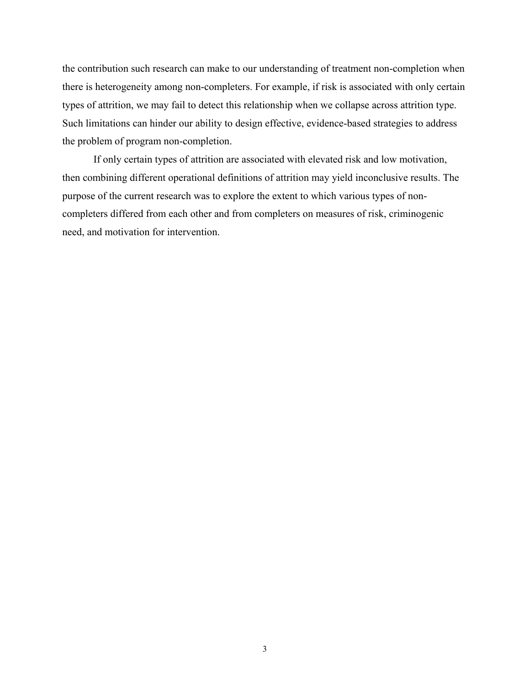the contribution such research can make to our understanding of treatment non-completion when there is heterogeneity among non-completers. For example, if risk is associated with only certain types of attrition, we may fail to detect this relationship when we collapse across attrition type. Such limitations can hinder our ability to design effective, evidence-based strategies to address the problem of program non-completion.

If only certain types of attrition are associated with elevated risk and low motivation, then combining different operational definitions of attrition may yield inconclusive results. The purpose of the current research was to explore the extent to which various types of noncompleters differed from each other and from completers on measures of risk, criminogenic need, and motivation for intervention.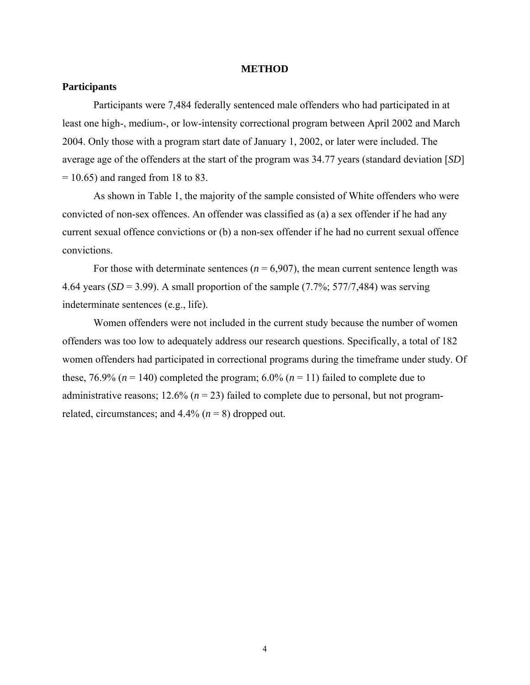#### **METHOD**

## **Participants**

Participants were 7,484 federally sentenced male offenders who had participated in at least one high-, medium-, or low-intensity correctional program between April 2002 and March 2004. Only those with a program start date of January 1, 2002, or later were included. The average age of the offenders at the start of the program was 34.77 years (standard deviation [*SD*]  $= 10.65$ ) and ranged from 18 to 83.

As shown in Table 1, the majority of the sample consisted of White offenders who were convicted of non-sex offences. An offender was classified as (a) a sex offender if he had any current sexual offence convictions or (b) a non-sex offender if he had no current sexual offence convictions.

For those with determinate sentences ( $n = 6,907$ ), the mean current sentence length was 4.64 years  $(SD = 3.99)$ . A small proportion of the sample  $(7.7\%; 577/7,484)$  was serving indeterminate sentences (e.g., life).

Women offenders were not included in the current study because the number of women offenders was too low to adequately address our research questions. Specifically, a total of 182 women offenders had participated in correctional programs during the timeframe under study. Of these,  $76.9\%$  ( $n = 140$ ) completed the program;  $6.0\%$  ( $n = 11$ ) failed to complete due to administrative reasons;  $12.6\%$  ( $n = 23$ ) failed to complete due to personal, but not programrelated, circumstances; and  $4.4\%$  ( $n = 8$ ) dropped out.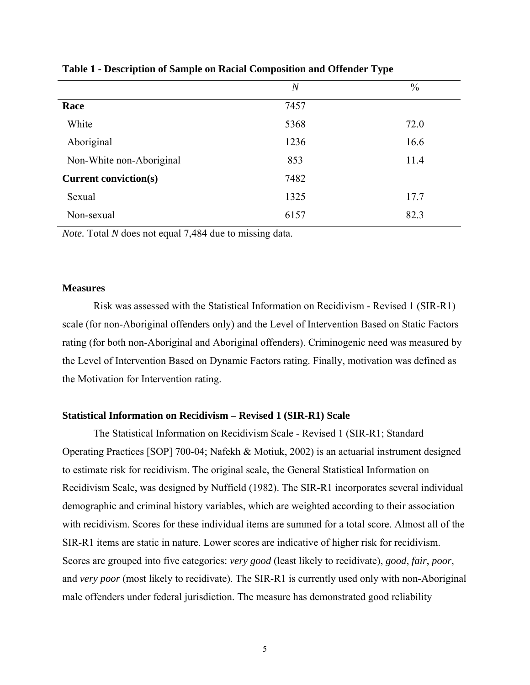|                              | $\overline{N}$ | $\frac{0}{0}$ |
|------------------------------|----------------|---------------|
| Race                         | 7457           |               |
| White                        | 5368           | 72.0          |
| Aboriginal                   | 1236           | 16.6          |
| Non-White non-Aboriginal     | 853            | 11.4          |
| <b>Current conviction(s)</b> | 7482           |               |
| Sexual                       | 1325           | 17.7          |
| Non-sexual                   | 6157           | 82.3          |

## **Table 1 - Description of Sample on Racial Composition and Offender Type**

*Note.* Total *N* does not equal 7,484 due to missing data.

## **Measures**

Risk was assessed with the Statistical Information on Recidivism - Revised 1 (SIR-R1) scale (for non-Aboriginal offenders only) and the Level of Intervention Based on Static Factors rating (for both non-Aboriginal and Aboriginal offenders). Criminogenic need was measured by the Level of Intervention Based on Dynamic Factors rating. Finally, motivation was defined as the Motivation for Intervention rating.

## **Statistical Information on Recidivism – Revised 1 (SIR-R1) Scale**

The Statistical Information on Recidivism Scale - Revised 1 (SIR-R1; Standard Operating Practices [SOP] 700-04; Nafekh & Motiuk, 2002) is an actuarial instrument designed to estimate risk for recidivism. The original scale, the General Statistical Information on Recidivism Scale, was designed by Nuffield (1982). The SIR-R1 incorporates several individual demographic and criminal history variables, which are weighted according to their association with recidivism. Scores for these individual items are summed for a total score. Almost all of the SIR-R1 items are static in nature. Lower scores are indicative of higher risk for recidivism. Scores are grouped into five categories: *very good* (least likely to recidivate), *good*, *fair*, *poor*, and *very poor* (most likely to recidivate). The SIR-R1 is currently used only with non-Aboriginal male offenders under federal jurisdiction. The measure has demonstrated good reliability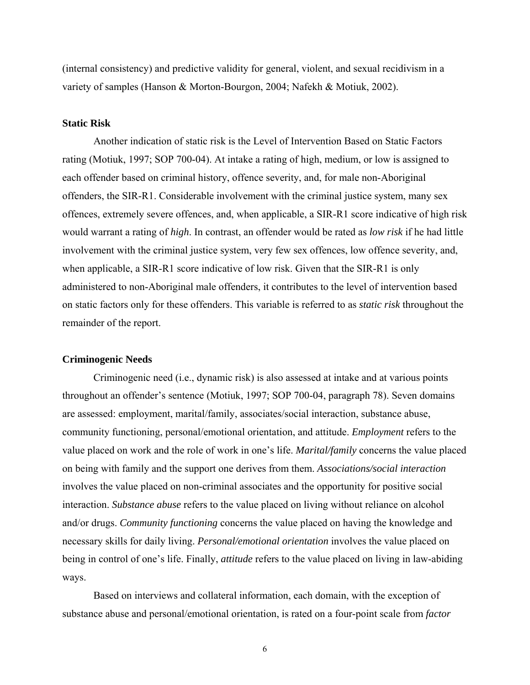(internal consistency) and predictive validity for general, violent, and sexual recidivism in a variety of samples (Hanson & Morton-Bourgon, 2004; Nafekh & Motiuk, 2002).

## **Static Risk**

Another indication of static risk is the Level of Intervention Based on Static Factors rating (Motiuk, 1997; SOP 700-04). At intake a rating of high, medium, or low is assigned to each offender based on criminal history, offence severity, and, for male non-Aboriginal offenders, the SIR-R1. Considerable involvement with the criminal justice system, many sex offences, extremely severe offences, and, when applicable, a SIR-R1 score indicative of high risk would warrant a rating of *high*. In contrast, an offender would be rated as *low risk* if he had little involvement with the criminal justice system, very few sex offences, low offence severity, and, when applicable, a SIR-R1 score indicative of low risk. Given that the SIR-R1 is only administered to non-Aboriginal male offenders, it contributes to the level of intervention based on static factors only for these offenders. This variable is referred to as *static risk* throughout the remainder of the report.

## **Criminogenic Needs**

Criminogenic need (i.e., dynamic risk) is also assessed at intake and at various points throughout an offender's sentence (Motiuk, 1997; SOP 700-04, paragraph 78). Seven domains are assessed: employment, marital/family, associates/social interaction, substance abuse, community functioning, personal/emotional orientation, and attitude. *Employment* refers to the value placed on work and the role of work in one's life. *Marital/family* concerns the value placed on being with family and the support one derives from them. *Associations/social interaction* involves the value placed on non-criminal associates and the opportunity for positive social interaction. *Substance abuse* refers to the value placed on living without reliance on alcohol and/or drugs. *Community functioning* concerns the value placed on having the knowledge and necessary skills for daily living. *Personal/emotional orientation* involves the value placed on being in control of one's life. Finally, *attitude* refers to the value placed on living in law-abiding ways.

Based on interviews and collateral information, each domain, with the exception of substance abuse and personal/emotional orientation, is rated on a four-point scale from *factor*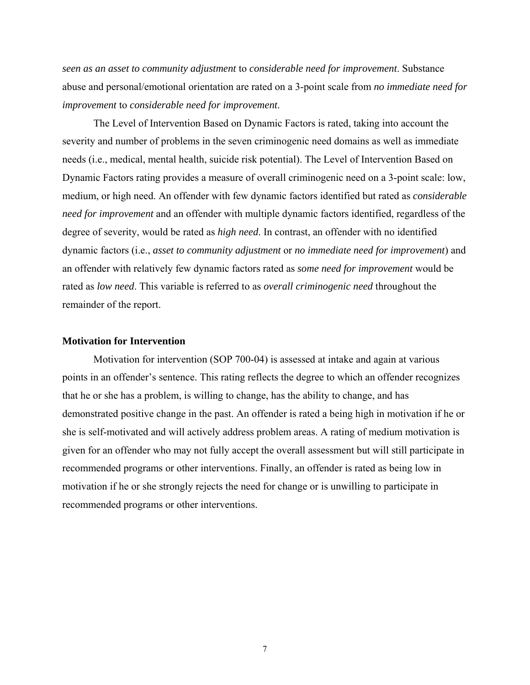*seen as an asset to community adjustment* to *considerable need for improvement*. Substance abuse and personal/emotional orientation are rated on a 3-point scale from *no immediate need for improvement* to *considerable need for improvement*.

The Level of Intervention Based on Dynamic Factors is rated, taking into account the severity and number of problems in the seven criminogenic need domains as well as immediate needs (i.e., medical, mental health, suicide risk potential). The Level of Intervention Based on Dynamic Factors rating provides a measure of overall criminogenic need on a 3-point scale: low, medium, or high need. An offender with few dynamic factors identified but rated as *considerable need for improvement* and an offender with multiple dynamic factors identified, regardless of the degree of severity, would be rated as *high need*. In contrast, an offender with no identified dynamic factors (i.e., *asset to community adjustment* or *no immediate need for improvement*) and an offender with relatively few dynamic factors rated as *some need for improvement* would be rated as *low need*. This variable is referred to as *overall criminogenic need* throughout the remainder of the report.

### **Motivation for Intervention**

Motivation for intervention (SOP 700-04) is assessed at intake and again at various points in an offender's sentence. This rating reflects the degree to which an offender recognizes that he or she has a problem, is willing to change, has the ability to change, and has demonstrated positive change in the past. An offender is rated a being high in motivation if he or she is self-motivated and will actively address problem areas. A rating of medium motivation is given for an offender who may not fully accept the overall assessment but will still participate in recommended programs or other interventions. Finally, an offender is rated as being low in motivation if he or she strongly rejects the need for change or is unwilling to participate in recommended programs or other interventions.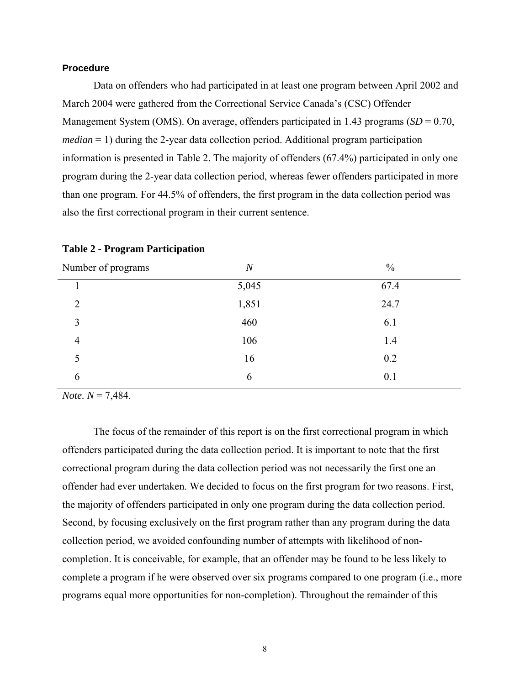## **Procedure**

 Data on offenders who had participated in at least one program between April 2002 and March 2004 were gathered from the Correctional Service Canada's (CSC) Offender Management System (OMS). On average, offenders participated in 1.43 programs (*SD* = 0.70, *median* = 1) during the 2-year data collection period. Additional program participation information is presented in Table 2. The majority of offenders (67.4%) participated in only one program during the 2-year data collection period, whereas fewer offenders participated in more than one program. For 44.5% of offenders, the first program in the data collection period was also the first correctional program in their current sentence.

| Number of programs | $\boldsymbol{N}$ | $\frac{0}{0}$ |
|--------------------|------------------|---------------|
|                    | 5,045            | 67.4          |
| $\overline{2}$     | 1,851            | 24.7          |
| 3                  | 460              | 6.1           |
| $\overline{4}$     | 106              | 1.4           |
| 5                  | 16               | 0.2           |
| 6                  | 6                | 0.1           |

## **Table 2 - Program Participation**

*Note. N* = 7,484.

The focus of the remainder of this report is on the first correctional program in which offenders participated during the data collection period. It is important to note that the first correctional program during the data collection period was not necessarily the first one an offender had ever undertaken. We decided to focus on the first program for two reasons. First, the majority of offenders participated in only one program during the data collection period. Second, by focusing exclusively on the first program rather than any program during the data collection period, we avoided confounding number of attempts with likelihood of noncompletion. It is conceivable, for example, that an offender may be found to be less likely to complete a program if he were observed over six programs compared to one program (i.e., more programs equal more opportunities for non-completion). Throughout the remainder of this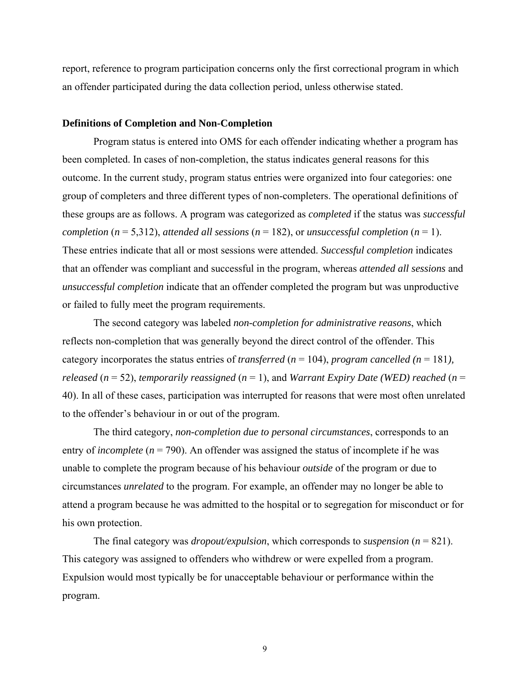report, reference to program participation concerns only the first correctional program in which an offender participated during the data collection period, unless otherwise stated.

## **Definitions of Completion and Non-Completion**

Program status is entered into OMS for each offender indicating whether a program has been completed. In cases of non-completion, the status indicates general reasons for this outcome. In the current study, program status entries were organized into four categories: one group of completers and three different types of non-completers. The operational definitions of these groups are as follows. A program was categorized as *completed* if the status was *successful completion* ( $n = 5,312$ ), *attended all sessions* ( $n = 182$ ), or *unsuccessful completion* ( $n = 1$ ). These entries indicate that all or most sessions were attended. *Successful completion* indicates that an offender was compliant and successful in the program, whereas *attended all sessions* and *unsuccessful completion* indicate that an offender completed the program but was unproductive or failed to fully meet the program requirements.

The second category was labeled *non-completion for administrative reasons*, which reflects non-completion that was generally beyond the direct control of the offender. This category incorporates the status entries of *transferred* ( $n = 104$ ), *program cancelled* ( $n = 181$ ), *released* ( $n = 52$ ), *temporarily reassigned* ( $n = 1$ ), and *Warrant Expiry Date* (*WED*) *reached* ( $n = 1$ ) 40). In all of these cases, participation was interrupted for reasons that were most often unrelated to the offender's behaviour in or out of the program.

The third category, *non-completion due to personal circumstances*, corresponds to an entry of *incomplete*  $(n = 790)$ . An offender was assigned the status of incomplete if he was unable to complete the program because of his behaviour *outside* of the program or due to circumstances *unrelated* to the program. For example, an offender may no longer be able to attend a program because he was admitted to the hospital or to segregation for misconduct or for his own protection.

The final category was *dropout/expulsion*, which corresponds to *suspension* (*n* = 821). This category was assigned to offenders who withdrew or were expelled from a program. Expulsion would most typically be for unacceptable behaviour or performance within the program.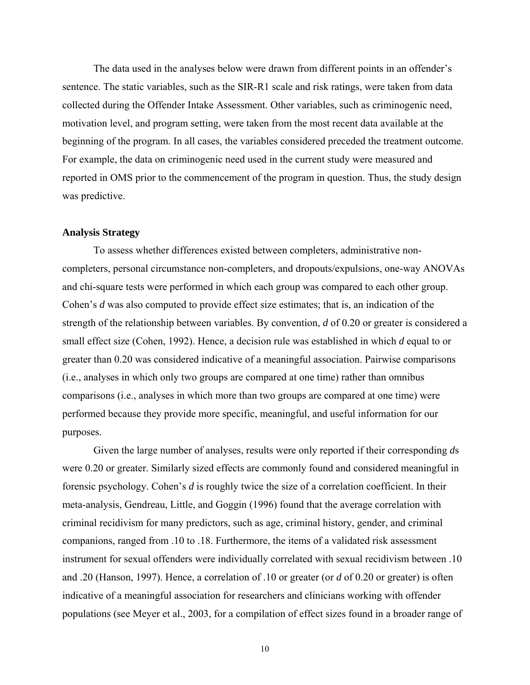The data used in the analyses below were drawn from different points in an offender's sentence. The static variables, such as the SIR-R1 scale and risk ratings, were taken from data collected during the Offender Intake Assessment. Other variables, such as criminogenic need, motivation level, and program setting, were taken from the most recent data available at the beginning of the program. In all cases, the variables considered preceded the treatment outcome. For example, the data on criminogenic need used in the current study were measured and reported in OMS prior to the commencement of the program in question. Thus, the study design was predictive.

#### **Analysis Strategy**

To assess whether differences existed between completers, administrative noncompleters, personal circumstance non-completers, and dropouts/expulsions, one-way ANOVAs and chi-square tests were performed in which each group was compared to each other group. Cohen's *d* was also computed to provide effect size estimates; that is, an indication of the strength of the relationship between variables. By convention, *d* of 0.20 or greater is considered a small effect size (Cohen, 1992). Hence, a decision rule was established in which *d* equal to or greater than 0.20 was considered indicative of a meaningful association. Pairwise comparisons (i.e., analyses in which only two groups are compared at one time) rather than omnibus comparisons (i.e., analyses in which more than two groups are compared at one time) were performed because they provide more specific, meaningful, and useful information for our purposes.

Given the large number of analyses, results were only reported if their corresponding *d*s were 0.20 or greater. Similarly sized effects are commonly found and considered meaningful in forensic psychology. Cohen's *d* is roughly twice the size of a correlation coefficient. In their meta-analysis, Gendreau, Little, and Goggin (1996) found that the average correlation with criminal recidivism for many predictors, such as age, criminal history, gender, and criminal companions, ranged from .10 to .18. Furthermore, the items of a validated risk assessment instrument for sexual offenders were individually correlated with sexual recidivism between .10 and .20 (Hanson, 1997). Hence, a correlation of .10 or greater (or *d* of 0.20 or greater) is often indicative of a meaningful association for researchers and clinicians working with offender populations (see Meyer et al., 2003, for a compilation of effect sizes found in a broader range of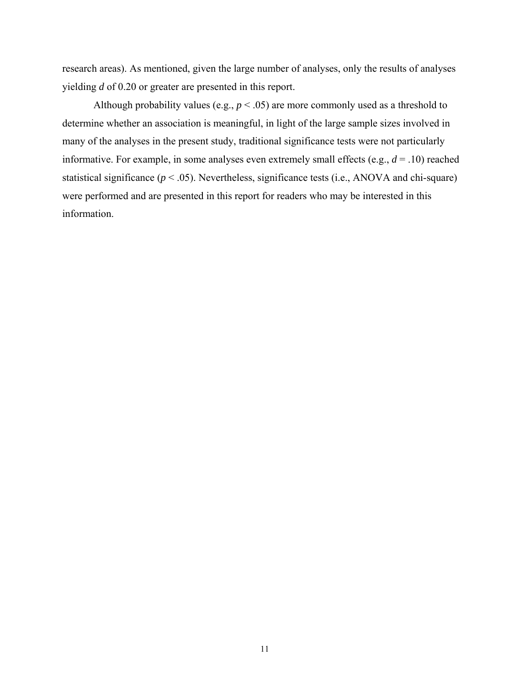research areas). As mentioned, given the large number of analyses, only the results of analyses yielding *d* of 0.20 or greater are presented in this report.

Although probability values (e.g.,  $p < .05$ ) are more commonly used as a threshold to determine whether an association is meaningful, in light of the large sample sizes involved in many of the analyses in the present study, traditional significance tests were not particularly informative. For example, in some analyses even extremely small effects (e.g., *d* = .10) reached statistical significance  $(p < .05)$ . Nevertheless, significance tests (i.e., ANOVA and chi-square) were performed and are presented in this report for readers who may be interested in this information.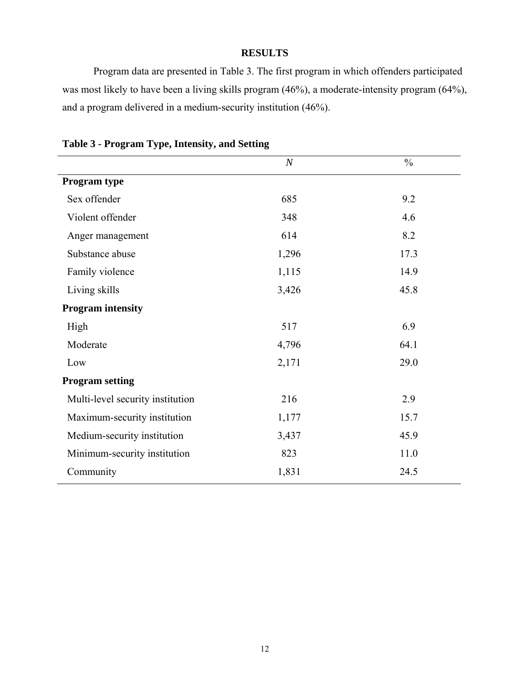## **RESULTS**

Program data are presented in Table 3. The first program in which offenders participated was most likely to have been a living skills program (46%), a moderate-intensity program (64%), and a program delivered in a medium-security institution (46%).

|                                  | $\overline{N}$ | $\frac{0}{0}$ |  |  |  |
|----------------------------------|----------------|---------------|--|--|--|
| Program type                     |                |               |  |  |  |
| Sex offender                     | 685            | 9.2           |  |  |  |
| Violent offender                 | 348            | 4.6           |  |  |  |
| Anger management                 | 614            | 8.2           |  |  |  |
| Substance abuse                  | 1,296          | 17.3          |  |  |  |
| Family violence                  | 1,115          | 14.9          |  |  |  |
| Living skills                    | 3,426          | 45.8          |  |  |  |
| <b>Program</b> intensity         |                |               |  |  |  |
| High                             | 517            | 6.9           |  |  |  |
| Moderate                         | 4,796          | 64.1          |  |  |  |
| Low                              | 2,171          | 29.0          |  |  |  |
| <b>Program setting</b>           |                |               |  |  |  |
| Multi-level security institution | 216            | 2.9           |  |  |  |
| Maximum-security institution     | 1,177          | 15.7          |  |  |  |
| Medium-security institution      | 3,437          | 45.9          |  |  |  |
| Minimum-security institution     | 823            | 11.0          |  |  |  |
| Community                        | 1,831          | 24.5          |  |  |  |

**Table 3 - Program Type, Intensity, and Setting**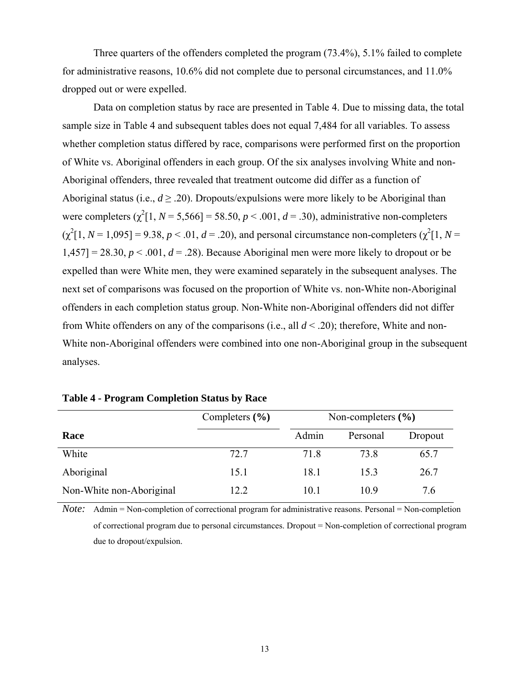Three quarters of the offenders completed the program (73.4%), 5.1% failed to complete for administrative reasons, 10.6% did not complete due to personal circumstances, and 11.0% dropped out or were expelled.

Data on completion status by race are presented in Table 4. Due to missing data, the total sample size in Table 4 and subsequent tables does not equal 7,484 for all variables. To assess whether completion status differed by race, comparisons were performed first on the proportion of White vs. Aboriginal offenders in each group. Of the six analyses involving White and non-Aboriginal offenders, three revealed that treatment outcome did differ as a function of Aboriginal status (i.e.,  $d \ge 20$ ). Dropouts/expulsions were more likely to be Aboriginal than were completers  $(\chi^2[1, N = 5,566] = 58.50, p < .001, d = .30)$ , administrative non-completers  $(\chi^2[1, N=1,095] = 9.38, p < .01, d = .20)$ , and personal circumstance non-completers  $(\chi^2[1, N=1,095])$  $1,457$ ] = 28.30,  $p < .001$ ,  $d = .28$ ). Because Aboriginal men were more likely to dropout or be expelled than were White men, they were examined separately in the subsequent analyses. The next set of comparisons was focused on the proportion of White vs. non-White non-Aboriginal offenders in each completion status group. Non-White non-Aboriginal offenders did not differ from White offenders on any of the comparisons (i.e., all *d* < .20); therefore, White and non-White non-Aboriginal offenders were combined into one non-Aboriginal group in the subsequent analyses.

|                          | Completers $(\% )$ |       | Non-completers $(\% )$ |         |
|--------------------------|--------------------|-------|------------------------|---------|
| Race                     |                    | Admin | Personal               | Dropout |
| White                    | 72.7               | 71.8  | 73.8                   | 65.7    |
| Aboriginal               | 15.1               | 18.1  | 15.3                   | 26.7    |
| Non-White non-Aboriginal | 12.2               | 10.1  | 10.9                   | 7.6     |

|  | <b>Table 4 - Program Completion Status by Race</b> |  |  |
|--|----------------------------------------------------|--|--|
|  |                                                    |  |  |

*Note:* Admin = Non-completion of correctional program for administrative reasons. Personal = Non-completion of correctional program due to personal circumstances. Dropout = Non-completion of correctional program due to dropout/expulsion.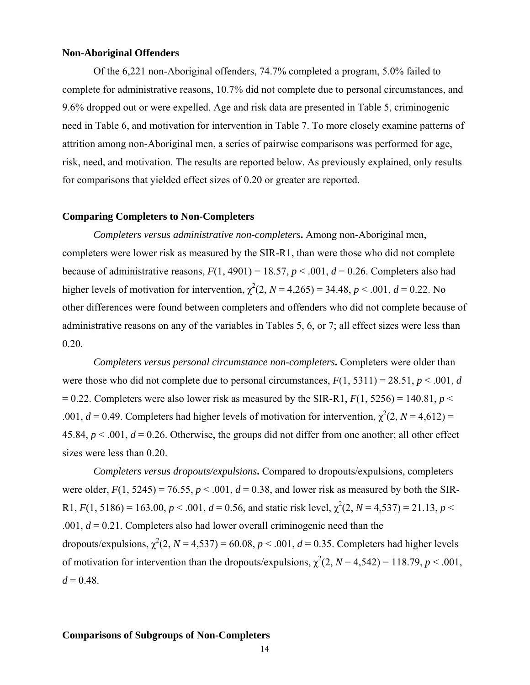## **Non-Aboriginal Offenders**

Of the 6,221 non-Aboriginal offenders, 74.7% completed a program, 5.0% failed to complete for administrative reasons, 10.7% did not complete due to personal circumstances, and 9.6% dropped out or were expelled. Age and risk data are presented in Table 5, criminogenic need in Table 6, and motivation for intervention in Table 7. To more closely examine patterns of attrition among non-Aboriginal men, a series of pairwise comparisons was performed for age, risk, need, and motivation. The results are reported below. As previously explained, only results for comparisons that yielded effect sizes of 0.20 or greater are reported.

## **Comparing Completers to Non-Completers**

*Completers versus administrative non-completers***.** Among non-Aboriginal men, completers were lower risk as measured by the SIR-R1, than were those who did not complete because of administrative reasons,  $F(1, 4901) = 18.57$ ,  $p < .001$ ,  $d = 0.26$ . Completers also had higher levels of motivation for intervention,  $\chi^2(2, N = 4,265) = 34.48$ ,  $p < .001$ ,  $d = 0.22$ . No other differences were found between completers and offenders who did not complete because of administrative reasons on any of the variables in Tables 5, 6, or 7; all effect sizes were less than 0.20.

*Completers versus personal circumstance non-completers***.** Completers were older than were those who did not complete due to personal circumstances,  $F(1, 5311) = 28.51$ ,  $p < .001$ , *d*  $= 0.22$ . Completers were also lower risk as measured by the SIR-R1,  $F(1, 5256) = 140.81$ ,  $p \le$ .001,  $d = 0.49$ . Completers had higher levels of motivation for intervention,  $\chi^2(2, N = 4.612)$  = 45.84,  $p < .001$ ,  $d = 0.26$ . Otherwise, the groups did not differ from one another; all other effect sizes were less than 0.20.

*Completers versus dropouts/expulsions***.** Compared to dropouts/expulsions, completers were older,  $F(1, 5245) = 76.55$ ,  $p < .001$ ,  $d = 0.38$ , and lower risk as measured by both the SIR-R1,  $F(1, 5186) = 163.00, p < .001, d = 0.56$ , and static risk level,  $\chi^2(2, N = 4.537) = 21.13, p <$ .001, *d* = 0.21. Completers also had lower overall criminogenic need than the dropouts/expulsions,  $\chi^2(2, N = 4.537) = 60.08$ ,  $p < .001$ ,  $d = 0.35$ . Completers had higher levels of motivation for intervention than the dropouts/expulsions,  $\chi^2(2, N = 4,542) = 118.79$ ,  $p < .001$ ,  $d = 0.48$ .

## **Comparisons of Subgroups of Non-Completers**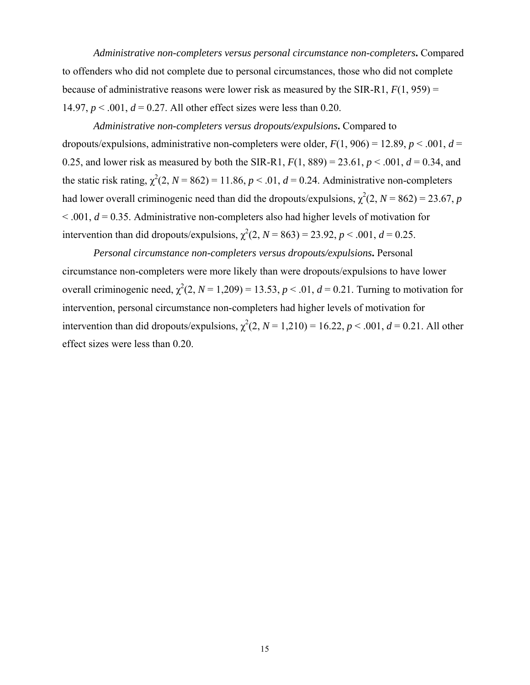*Administrative non-completers versus personal circumstance non-completers***.** Compared to offenders who did not complete due to personal circumstances, those who did not complete because of administrative reasons were lower risk as measured by the SIR-R1, *F*(1, 959) = 14.97,  $p < .001$ ,  $d = 0.27$ . All other effect sizes were less than 0.20.

*Administrative non-completers versus dropouts/expulsions***.** Compared to dropouts/expulsions, administrative non-completers were older,  $F(1, 906) = 12.89$ ,  $p < .001$ ,  $d =$ 0.25, and lower risk as measured by both the SIR-R1,  $F(1, 889) = 23.61$ ,  $p < .001$ ,  $d = 0.34$ , and the static risk rating,  $\chi^2(2, N = 862) = 11.86$ ,  $p < .01$ ,  $d = 0.24$ . Administrative non-completers had lower overall criminogenic need than did the dropouts/expulsions,  $\chi^2(2, N = 862) = 23.67$ , *p*  $\leq$  0.01,  $d = 0.35$ . Administrative non-completers also had higher levels of motivation for intervention than did dropouts/expulsions,  $\chi^2(2, N = 863) = 23.92$ ,  $p < .001$ ,  $d = 0.25$ .

*Personal circumstance non-completers versus dropouts/expulsions***.** Personal circumstance non-completers were more likely than were dropouts/expulsions to have lower overall criminogenic need,  $\chi^2(2, N = 1,209) = 13.53, p < .01, d = 0.21$ . Turning to motivation for intervention, personal circumstance non-completers had higher levels of motivation for intervention than did dropouts/expulsions,  $\chi^2(2, N = 1,210) = 16.22$ ,  $p < .001$ ,  $d = 0.21$ . All other effect sizes were less than 0.20.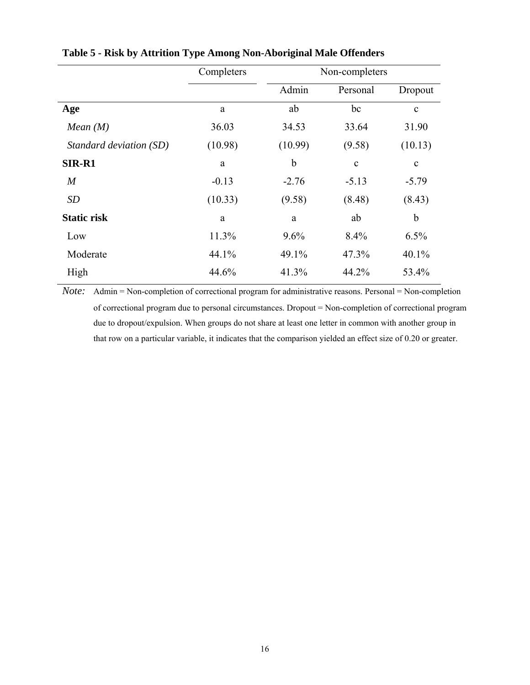|                         | Completers |         | Non-completers |             |
|-------------------------|------------|---------|----------------|-------------|
|                         |            | Admin   | Personal       | Dropout     |
| Age                     | a          | ab      | bc             | $\mathbf c$ |
| Mean (M)                | 36.03      | 34.53   | 33.64          | 31.90       |
| Standard deviation (SD) | (10.98)    | (10.99) | (9.58)         | (10.13)     |
| SIR-R1                  | a          | b       | $\mathbf{C}$   | $\mathbf c$ |
| $\boldsymbol{M}$        | $-0.13$    | $-2.76$ | $-5.13$        | $-5.79$     |
| <b>SD</b>               | (10.33)    | (9.58)  | (8.48)         | (8.43)      |
| <b>Static risk</b>      | a          | a       | ab             | b           |
| Low                     | 11.3%      | 9.6%    | 8.4%           | 6.5%        |
| Moderate                | 44.1%      | 49.1%   | 47.3%          | 40.1%       |
| High                    | 44.6%      | 41.3%   | 44.2%          | 53.4%       |

# **Table 5 - Risk by Attrition Type Among Non-Aboriginal Male Offenders**

*Note:* Admin = Non-completion of correctional program for administrative reasons. Personal = Non-completion of correctional program due to personal circumstances. Dropout = Non-completion of correctional program due to dropout/expulsion. When groups do not share at least one letter in common with another group in that row on a particular variable, it indicates that the comparison yielded an effect size of 0.20 or greater.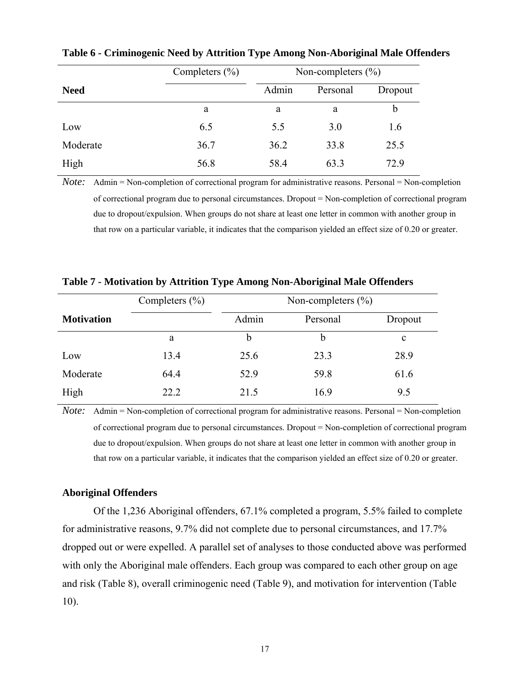|             | Completers $(\% )$ | Non-completers $(\% )$ |          |         |
|-------------|--------------------|------------------------|----------|---------|
| <b>Need</b> |                    | Admin                  | Personal | Dropout |
|             | a                  | a                      | a        | b       |
| Low         | 6.5                | 5.5                    | 3.0      | 1.6     |
| Moderate    | 36.7               | 36.2                   | 33.8     | 25.5    |
| High        | 56.8               | 58.4                   | 63.3     | 72.9    |

**Table 6 - Criminogenic Need by Attrition Type Among Non-Aboriginal Male Offenders** 

*Note:* Admin = Non-completion of correctional program for administrative reasons. Personal = Non-completion of correctional program due to personal circumstances. Dropout = Non-completion of correctional program due to dropout/expulsion. When groups do not share at least one letter in common with another group in that row on a particular variable, it indicates that the comparison yielded an effect size of 0.20 or greater.

|                   | Completers $(\% )$ | Non-completers $(\% )$ |          |             |
|-------------------|--------------------|------------------------|----------|-------------|
| <b>Motivation</b> |                    | Admin                  | Personal | Dropout     |
|                   | a                  | b                      | b        | $\mathbf c$ |
| Low               | 13.4               | 25.6                   | 23.3     | 28.9        |
| Moderate          | 64.4               | 52.9                   | 59.8     | 61.6        |
| High              | 22.2               | 21.5                   | 16.9     | 9.5         |

**Table 7 - Motivation by Attrition Type Among Non-Aboriginal Male Offenders** 

*Note:* Admin = Non-completion of correctional program for administrative reasons. Personal = Non-completion of correctional program due to personal circumstances. Dropout = Non-completion of correctional program due to dropout/expulsion. When groups do not share at least one letter in common with another group in that row on a particular variable, it indicates that the comparison yielded an effect size of 0.20 or greater.

## **Aboriginal Offenders**

Of the 1,236 Aboriginal offenders, 67.1% completed a program, 5.5% failed to complete for administrative reasons, 9.7% did not complete due to personal circumstances, and 17.7% dropped out or were expelled. A parallel set of analyses to those conducted above was performed with only the Aboriginal male offenders. Each group was compared to each other group on age and risk (Table 8), overall criminogenic need (Table 9), and motivation for intervention (Table 10).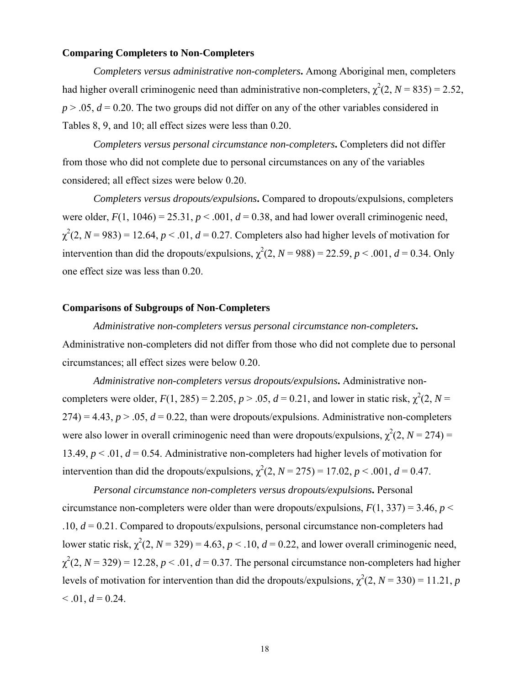## **Comparing Completers to Non-Completers**

*Completers versus administrative non-completers***.** Among Aboriginal men, completers had higher overall criminogenic need than administrative non-completers,  $\chi^2(2, N = 835) = 2.52$ ,  $p > 0.05$ ,  $d = 0.20$ . The two groups did not differ on any of the other variables considered in Tables 8, 9, and 10; all effect sizes were less than 0.20.

*Completers versus personal circumstance non-completers***.** Completers did not differ from those who did not complete due to personal circumstances on any of the variables considered; all effect sizes were below 0.20.

*Completers versus dropouts/expulsions***.** Compared to dropouts/expulsions, completers were older,  $F(1, 1046) = 25.31$ ,  $p < .001$ ,  $d = 0.38$ , and had lower overall criminogenic need,  $\chi^2(2, N = 983) = 12.64, p < .01, d = 0.27$ . Completers also had higher levels of motivation for intervention than did the dropouts/expulsions,  $\chi^2(2, N = 988) = 22.59$ ,  $p < .001$ ,  $d = 0.34$ . Only one effect size was less than 0.20.

## **Comparisons of Subgroups of Non-Completers**

*Administrative non-completers versus personal circumstance non-completers***.** Administrative non-completers did not differ from those who did not complete due to personal circumstances; all effect sizes were below 0.20.

*Administrative non-completers versus dropouts/expulsions***.** Administrative noncompleters were older,  $F(1, 285) = 2.205$ ,  $p > .05$ ,  $d = 0.21$ , and lower in static risk,  $\chi^2(2, N = 1)$  $274$ ) = 4.43,  $p > 0.05$ ,  $d = 0.22$ , than were dropouts/expulsions. Administrative non-completers were also lower in overall criminogenic need than were dropouts/expulsions,  $\chi^2(2, N = 274)$  = 13.49,  $p < 0.01$ ,  $d = 0.54$ . Administrative non-completers had higher levels of motivation for intervention than did the dropouts/expulsions,  $\chi^2(2, N = 275) = 17.02$ ,  $p < .001$ ,  $d = 0.47$ .

*Personal circumstance non-completers versus dropouts/expulsions***.** Personal circumstance non-completers were older than were dropouts/expulsions,  $F(1, 337) = 3.46$ ,  $p <$ .10, *d* = 0.21. Compared to dropouts/expulsions, personal circumstance non-completers had lower static risk,  $\chi^2(2, N = 329) = 4.63$ ,  $p < .10$ ,  $d = 0.22$ , and lower overall criminogenic need,  $\chi^2(2, N = 329) = 12.28, p < .01, d = 0.37$ . The personal circumstance non-completers had higher levels of motivation for intervention than did the dropouts/expulsions,  $\chi^2(2, N = 330) = 11.21$ , *p*  $< 0.01, d = 0.24.$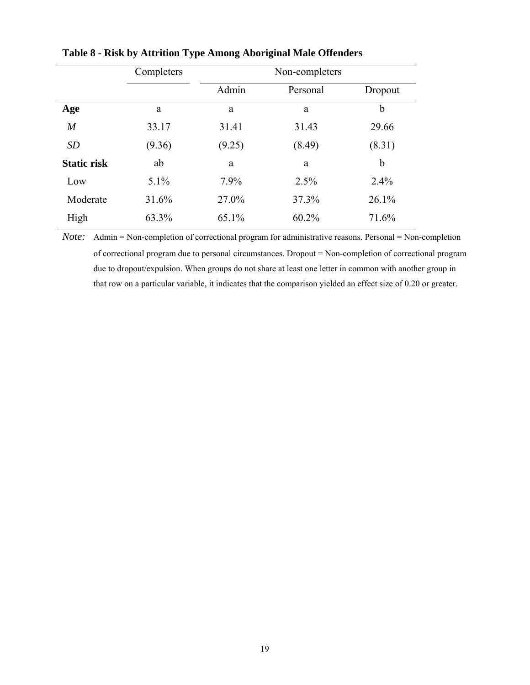|                    | Completers | Non-completers |          |         |  |
|--------------------|------------|----------------|----------|---------|--|
|                    |            | Admin          | Personal | Dropout |  |
| Age                | a          | a              | a        | b       |  |
| $\overline{M}$     | 33.17      | 31.41          | 31.43    | 29.66   |  |
| <b>SD</b>          | (9.36)     | (9.25)         | (8.49)   | (8.31)  |  |
| <b>Static risk</b> | ab         | a              | a        | b       |  |
| Low                | 5.1%       | 7.9%           | 2.5%     | 2.4%    |  |
| Moderate           | 31.6%      | 27.0%          | 37.3%    | 26.1%   |  |
| High               | 63.3%      | 65.1%          | 60.2%    | 71.6%   |  |

**Table 8 - Risk by Attrition Type Among Aboriginal Male Offenders** 

*Note:* Admin = Non-completion of correctional program for administrative reasons. Personal = Non-completion of correctional program due to personal circumstances. Dropout = Non-completion of correctional program due to dropout/expulsion. When groups do not share at least one letter in common with another group in that row on a particular variable, it indicates that the comparison yielded an effect size of 0.20 or greater.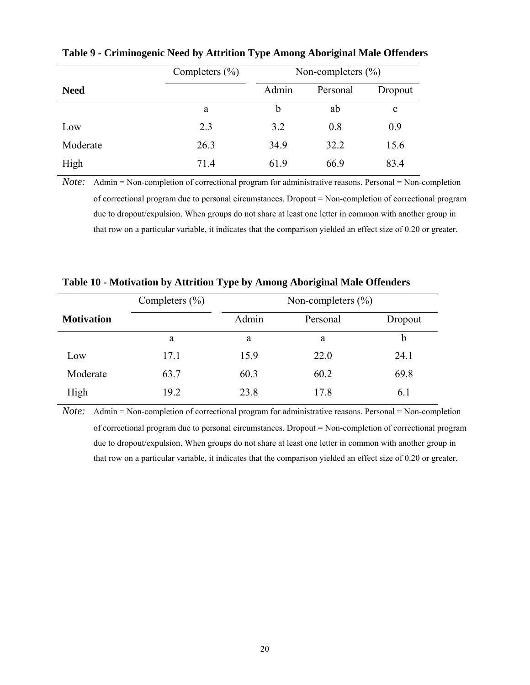|             | Completers $(\% )$ | Non-completers $(\% )$ |          |             |
|-------------|--------------------|------------------------|----------|-------------|
| <b>Need</b> |                    | Admin                  | Personal | Dropout     |
|             | a                  | b                      | ab       | $\mathbf c$ |
| Low         | 2.3                | 3.2                    | 0.8      | 0.9         |
| Moderate    | 26.3               | 34.9                   | 32.2     | 15.6        |
| High        | 71.4               | 61.9                   | 66.9     | 83.4        |

**Table 9 - Criminogenic Need by Attrition Type Among Aboriginal Male Offenders** 

*Note:* Admin = Non-completion of correctional program for administrative reasons. Personal = Non-completion of correctional program due to personal circumstances. Dropout = Non-completion of correctional program due to dropout/expulsion. When groups do not share at least one letter in common with another group in that row on a particular variable, it indicates that the comparison yielded an effect size of 0.20 or greater.

|                   | Completers $(\% )$ | Non-completers $(\% )$ |          |         |
|-------------------|--------------------|------------------------|----------|---------|
| <b>Motivation</b> |                    | Admin                  | Personal | Dropout |
|                   | a                  | a                      | a        | b       |
| Low               | 17.1               | 15.9                   | 22.0     | 24.1    |
| Moderate          | 63.7               | 60.3                   | 60.2     | 69.8    |
| High              | 19.2               | 23.8                   | 17.8     | 6.1     |

**Table 10 - Motivation by Attrition Type by Among Aboriginal Male Offenders** 

*Note:* Admin = Non-completion of correctional program for administrative reasons. Personal = Non-completion of correctional program due to personal circumstances. Dropout = Non-completion of correctional program due to dropout/expulsion. When groups do not share at least one letter in common with another group in that row on a particular variable, it indicates that the comparison yielded an effect size of 0.20 or greater.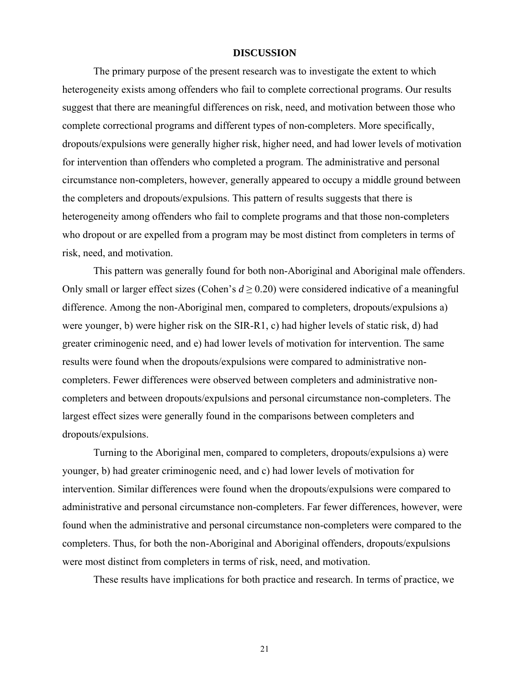#### **DISCUSSION**

The primary purpose of the present research was to investigate the extent to which heterogeneity exists among offenders who fail to complete correctional programs. Our results suggest that there are meaningful differences on risk, need, and motivation between those who complete correctional programs and different types of non-completers. More specifically, dropouts/expulsions were generally higher risk, higher need, and had lower levels of motivation for intervention than offenders who completed a program. The administrative and personal circumstance non-completers, however, generally appeared to occupy a middle ground between the completers and dropouts/expulsions. This pattern of results suggests that there is heterogeneity among offenders who fail to complete programs and that those non-completers who dropout or are expelled from a program may be most distinct from completers in terms of risk, need, and motivation.

This pattern was generally found for both non-Aboriginal and Aboriginal male offenders. Only small or larger effect sizes (Cohen's  $d \ge 0.20$ ) were considered indicative of a meaningful difference. Among the non-Aboriginal men, compared to completers, dropouts/expulsions a) were younger, b) were higher risk on the SIR-R1, c) had higher levels of static risk, d) had greater criminogenic need, and e) had lower levels of motivation for intervention. The same results were found when the dropouts/expulsions were compared to administrative noncompleters. Fewer differences were observed between completers and administrative noncompleters and between dropouts/expulsions and personal circumstance non-completers. The largest effect sizes were generally found in the comparisons between completers and dropouts/expulsions.

Turning to the Aboriginal men, compared to completers, dropouts/expulsions a) were younger, b) had greater criminogenic need, and c) had lower levels of motivation for intervention. Similar differences were found when the dropouts/expulsions were compared to administrative and personal circumstance non-completers. Far fewer differences, however, were found when the administrative and personal circumstance non-completers were compared to the completers. Thus, for both the non-Aboriginal and Aboriginal offenders, dropouts/expulsions were most distinct from completers in terms of risk, need, and motivation.

These results have implications for both practice and research. In terms of practice, we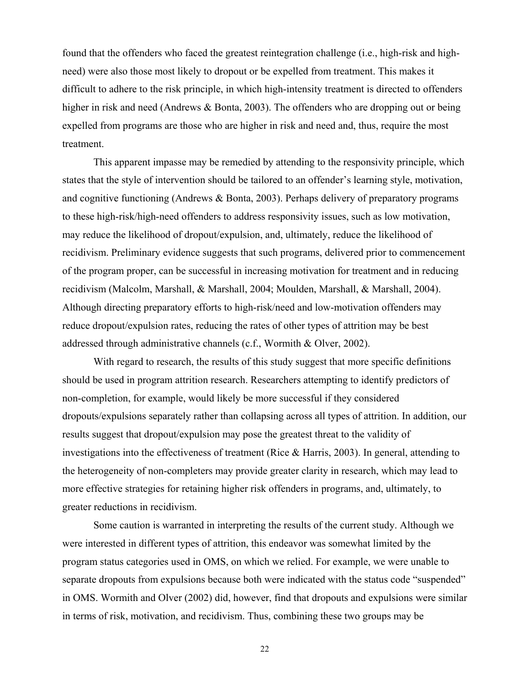found that the offenders who faced the greatest reintegration challenge (i.e., high-risk and highneed) were also those most likely to dropout or be expelled from treatment. This makes it difficult to adhere to the risk principle, in which high-intensity treatment is directed to offenders higher in risk and need (Andrews & Bonta, 2003). The offenders who are dropping out or being expelled from programs are those who are higher in risk and need and, thus, require the most treatment.

This apparent impasse may be remedied by attending to the responsivity principle, which states that the style of intervention should be tailored to an offender's learning style, motivation, and cognitive functioning (Andrews & Bonta, 2003). Perhaps delivery of preparatory programs to these high-risk/high-need offenders to address responsivity issues, such as low motivation, may reduce the likelihood of dropout/expulsion, and, ultimately, reduce the likelihood of recidivism. Preliminary evidence suggests that such programs, delivered prior to commencement of the program proper, can be successful in increasing motivation for treatment and in reducing recidivism (Malcolm, Marshall, & Marshall, 2004; Moulden, Marshall, & Marshall, 2004). Although directing preparatory efforts to high-risk/need and low-motivation offenders may reduce dropout/expulsion rates, reducing the rates of other types of attrition may be best addressed through administrative channels (c.f., Wormith & Olver, 2002).

With regard to research, the results of this study suggest that more specific definitions should be used in program attrition research. Researchers attempting to identify predictors of non-completion, for example, would likely be more successful if they considered dropouts/expulsions separately rather than collapsing across all types of attrition. In addition, our results suggest that dropout/expulsion may pose the greatest threat to the validity of investigations into the effectiveness of treatment (Rice  $\&$  Harris, 2003). In general, attending to the heterogeneity of non-completers may provide greater clarity in research, which may lead to more effective strategies for retaining higher risk offenders in programs, and, ultimately, to greater reductions in recidivism.

Some caution is warranted in interpreting the results of the current study. Although we were interested in different types of attrition, this endeavor was somewhat limited by the program status categories used in OMS, on which we relied. For example, we were unable to separate dropouts from expulsions because both were indicated with the status code "suspended" in OMS. Wormith and Olver (2002) did, however, find that dropouts and expulsions were similar in terms of risk, motivation, and recidivism. Thus, combining these two groups may be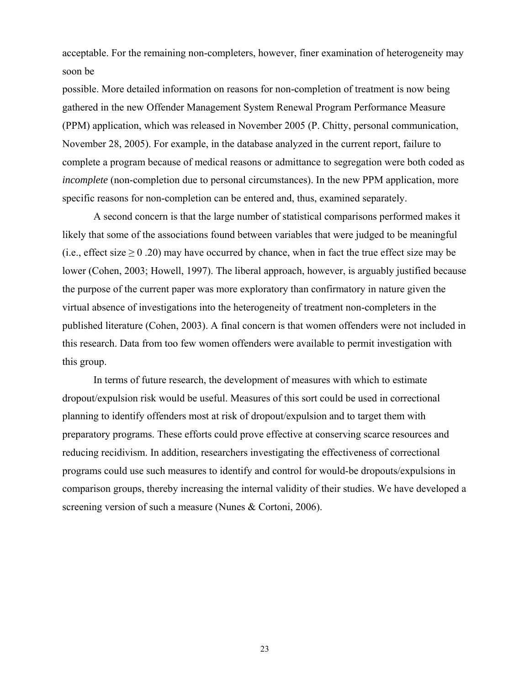acceptable. For the remaining non-completers, however, finer examination of heterogeneity may soon be

possible. More detailed information on reasons for non-completion of treatment is now being gathered in the new Offender Management System Renewal Program Performance Measure (PPM) application, which was released in November 2005 (P. Chitty, personal communication, November 28, 2005). For example, in the database analyzed in the current report, failure to complete a program because of medical reasons or admittance to segregation were both coded as *incomplete* (non-completion due to personal circumstances). In the new PPM application, more specific reasons for non-completion can be entered and, thus, examined separately.

A second concern is that the large number of statistical comparisons performed makes it likely that some of the associations found between variables that were judged to be meaningful (i.e., effect size  $\geq$  0 .20) may have occurred by chance, when in fact the true effect size may be lower (Cohen, 2003; Howell, 1997). The liberal approach, however, is arguably justified because the purpose of the current paper was more exploratory than confirmatory in nature given the virtual absence of investigations into the heterogeneity of treatment non-completers in the published literature (Cohen, 2003). A final concern is that women offenders were not included in this research. Data from too few women offenders were available to permit investigation with this group.

In terms of future research, the development of measures with which to estimate dropout/expulsion risk would be useful. Measures of this sort could be used in correctional planning to identify offenders most at risk of dropout/expulsion and to target them with preparatory programs. These efforts could prove effective at conserving scarce resources and reducing recidivism. In addition, researchers investigating the effectiveness of correctional programs could use such measures to identify and control for would-be dropouts/expulsions in comparison groups, thereby increasing the internal validity of their studies. We have developed a screening version of such a measure (Nunes & Cortoni, 2006).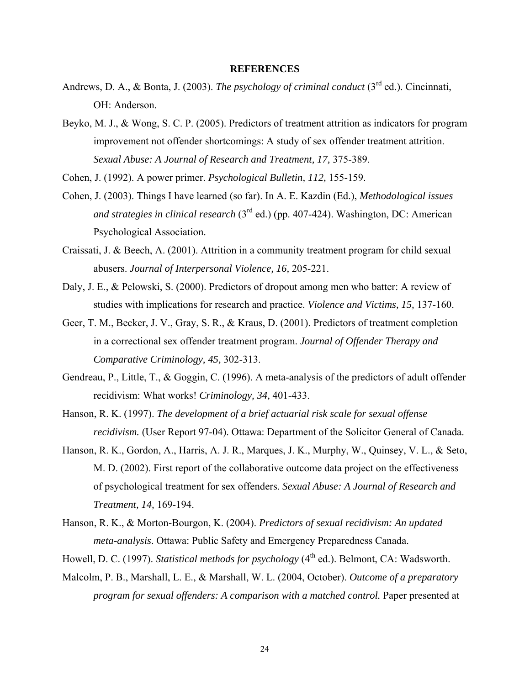### **REFERENCES**

- Andrews, D. A., & Bonta, J. (2003). *The psychology of criminal conduct* (3<sup>rd</sup> ed.). Cincinnati, OH: Anderson.
- Beyko, M. J., & Wong, S. C. P. (2005). Predictors of treatment attrition as indicators for program improvement not offender shortcomings: A study of sex offender treatment attrition. *Sexual Abuse: A Journal of Research and Treatment, 17,* 375-389.

Cohen, J. (1992). A power primer. *Psychological Bulletin, 112,* 155-159.

- Cohen, J. (2003). Things I have learned (so far). In A. E. Kazdin (Ed.), *Methodological issues and strategies in clinical research* (3rd ed.) (pp. 407-424). Washington, DC: American Psychological Association.
- Craissati, J. & Beech, A. (2001). Attrition in a community treatment program for child sexual abusers. *Journal of Interpersonal Violence, 16,* 205-221.
- Daly, J. E., & Pelowski, S. (2000). Predictors of dropout among men who batter: A review of studies with implications for research and practice. *Violence and Victims, 15,* 137-160.
- Geer, T. M., Becker, J. V., Gray, S. R., & Kraus, D. (2001). Predictors of treatment completion in a correctional sex offender treatment program. *Journal of Offender Therapy and Comparative Criminology, 45,* 302-313.
- Gendreau, P., Little, T., & Goggin, C. (1996). A meta-analysis of the predictors of adult offender recidivism: What works! *Criminology, 34,* 401-433.
- Hanson, R. K. (1997). *The development of a brief actuarial risk scale for sexual offense recidivism.* (User Report 97-04). Ottawa: Department of the Solicitor General of Canada.
- Hanson, R. K., Gordon, A., Harris, A. J. R., Marques, J. K., Murphy, W., Quinsey, V. L., & Seto, M. D. (2002). First report of the collaborative outcome data project on the effectiveness of psychological treatment for sex offenders. *Sexual Abuse: A Journal of Research and Treatment, 14,* 169-194.
- Hanson, R. K., & Morton-Bourgon, K. (2004). *Predictors of sexual recidivism: An updated meta-analysis*. Ottawa: Public Safety and Emergency Preparedness Canada.
- Howell, D. C. (1997). *Statistical methods for psychology* (4<sup>th</sup> ed.). Belmont, CA: Wadsworth.
- Malcolm, P. B., Marshall, L. E., & Marshall, W. L. (2004, October). *Outcome of a preparatory program for sexual offenders: A comparison with a matched control.* Paper presented at